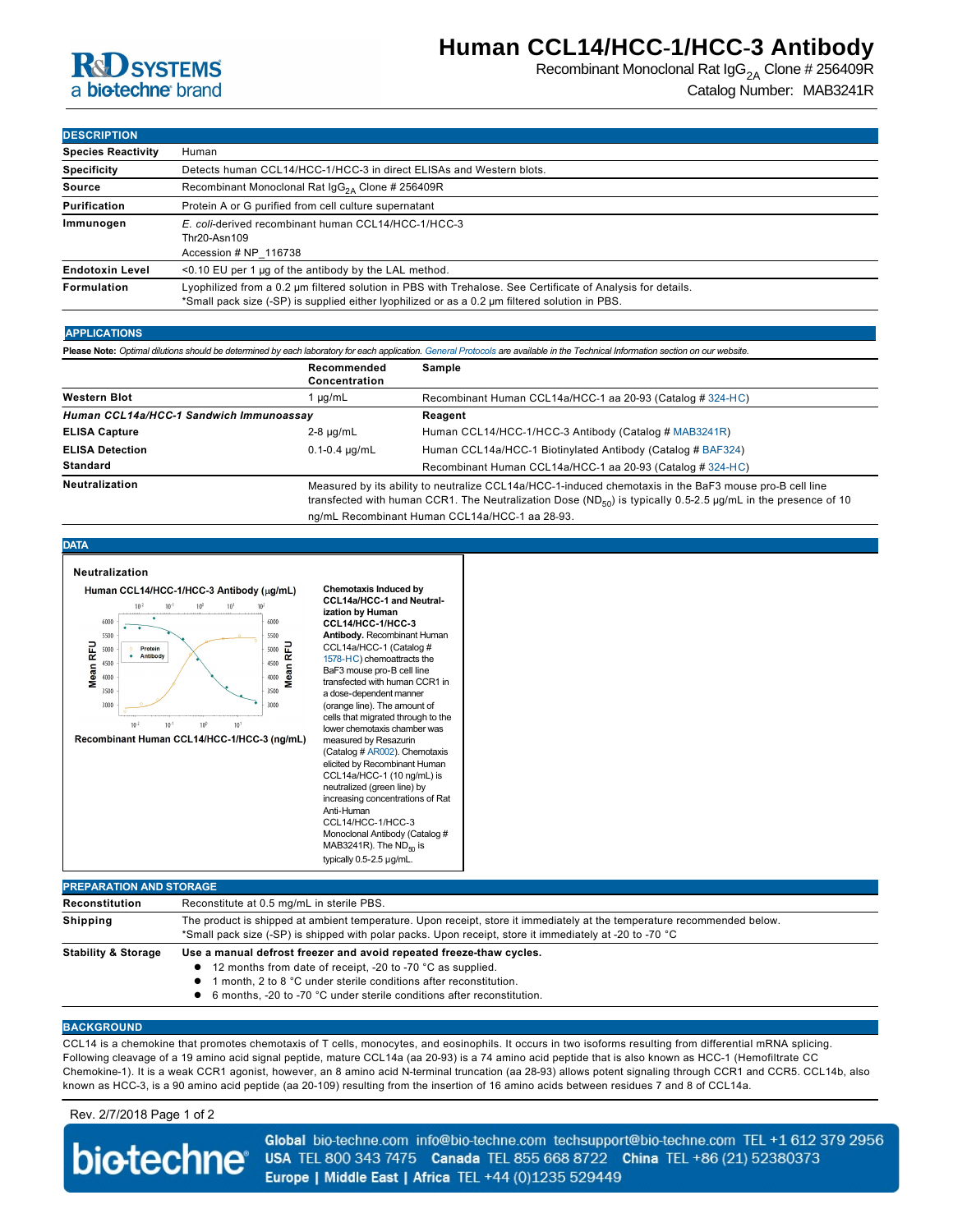## **R&D** SYSTEMS a **biotechne** brand

Recombinant Monoclonal Rat  $\text{lgG}_{2A}$  Clone # 256409R Catalog Number: MAB3241R

#### **DESCRIPTION**

| -------------             |                                                                                                                                                                                                               |  |  |  |
|---------------------------|---------------------------------------------------------------------------------------------------------------------------------------------------------------------------------------------------------------|--|--|--|
| <b>Species Reactivity</b> | Human                                                                                                                                                                                                         |  |  |  |
| <b>Specificity</b>        | Detects human CCL14/HCC-1/HCC-3 in direct ELISAs and Western blots.                                                                                                                                           |  |  |  |
| Source                    | Recombinant Monoclonal Rat $\lg G_{24}$ Clone # 256409R                                                                                                                                                       |  |  |  |
| Purification              | Protein A or G purified from cell culture supernatant                                                                                                                                                         |  |  |  |
| Immunogen                 | E. coli-derived recombinant human CCL14/HCC-1/HCC-3<br>Thr20-Asn109<br>Accession # NP 116738                                                                                                                  |  |  |  |
| <b>Endotoxin Level</b>    | $<$ 0.10 EU per 1 µg of the antibody by the LAL method.                                                                                                                                                       |  |  |  |
| Formulation               | Lyophilized from a 0.2 um filtered solution in PBS with Trehalose. See Certificate of Analysis for details.<br>*Small pack size (-SP) is supplied either lyophilized or as a 0.2 µm filtered solution in PBS. |  |  |  |

#### **APPLICATIONS**

**Please Note:** *Optimal dilutions should be determined by each laboratory for each application. [General Protocols](http://www.rndsystems.com/resources/protocols-troubleshooting-guides) are available in the Technical Information section on our website.*

|                                         | Recommended<br>Concentration                                                                                                                                                                                                         | Sample                                                      |
|-----------------------------------------|--------------------------------------------------------------------------------------------------------------------------------------------------------------------------------------------------------------------------------------|-------------------------------------------------------------|
| <b>Western Blot</b>                     | $\mu q/mL$                                                                                                                                                                                                                           | Recombinant Human CCL14a/HCC-1 aa 20-93 (Catalog # 324-HC)  |
| Human CCL14a/HCC-1 Sandwich Immunoassav |                                                                                                                                                                                                                                      | Reagent                                                     |
| <b>ELISA Capture</b>                    | $2-8 \mu q/mL$                                                                                                                                                                                                                       | Human CCL14/HCC-1/HCC-3 Antibody (Catalog # MAB3241R)       |
| <b>ELISA Detection</b>                  | $0.1 - 0.4 \mu q/mL$                                                                                                                                                                                                                 | Human CCL14a/HCC-1 Biotinylated Antibody (Catalog # BAF324) |
| <b>Standard</b>                         |                                                                                                                                                                                                                                      | Recombinant Human CCL14a/HCC-1 aa 20-93 (Catalog # 324-HC)  |
| <b>Neutralization</b>                   | Measured by its ability to neutralize CCL14a/HCC-1-induced chemotaxis in the BaF3 mouse pro-B cell line<br>transfected with human CCR1. The Neutralization Dose (ND <sub>50</sub> ) is typically 0.5-2.5 µg/mL in the presence of 10 |                                                             |

ng/mL Recombinant Human CCL14a/HCC-1 aa 28-93

#### **DATA**



|  | *Small pack size (-SP) is shipped with polar packs. Upon receipt, store it immediately at -20 to -70 °C |  |  |
|--|---------------------------------------------------------------------------------------------------------|--|--|
|--|---------------------------------------------------------------------------------------------------------|--|--|

- **Stability & Storage Use a manual defrost freezer and avoid repeated freezethaw cycles.** 
	- 12 months from date of receipt, -20 to -70 °C as supplied.
	- l 1 month, 2 to 8 °C under sterile conditions after reconstitution.
	- 6 months, -20 to -70 °C under sterile conditions after reconstitution.

#### **BACKGROUND**

CCL14 is a chemokine that promotes chemotaxis of T cells, monocytes, and eosinophils. It occurs in two isoforms resulting from differential mRNA splicing. Following cleavage of a 19 amino acid signal peptide, mature CCL14a (aa 2093) is a 74 amino acid peptide that is also known as HCC1 (Hemofiltrate CC Chemokine-1). It is a weak CCR1 agonist, however, an 8 amino acid N-terminal truncation (aa 28-93) allows potent signaling through CCR1 and CCR5. CCL14b, also known as HCC3, is a 90 amino acid peptide (aa 20109) resulting from the insertion of 16 amino acids between residues 7 and 8 of CCL14a.

### Rev. 2/7/2018 Page 1 of 2

Global bio-techne.com info@bio-techne.com techsupport@bio-techne.com TEL +1 612 379 2956 biotechne® USA TEL 800 343 7475 Canada TEL 855 668 8722 China TEL +86 (21) 52380373 Europe | Middle East | Africa TEL +44 (0)1235 529449